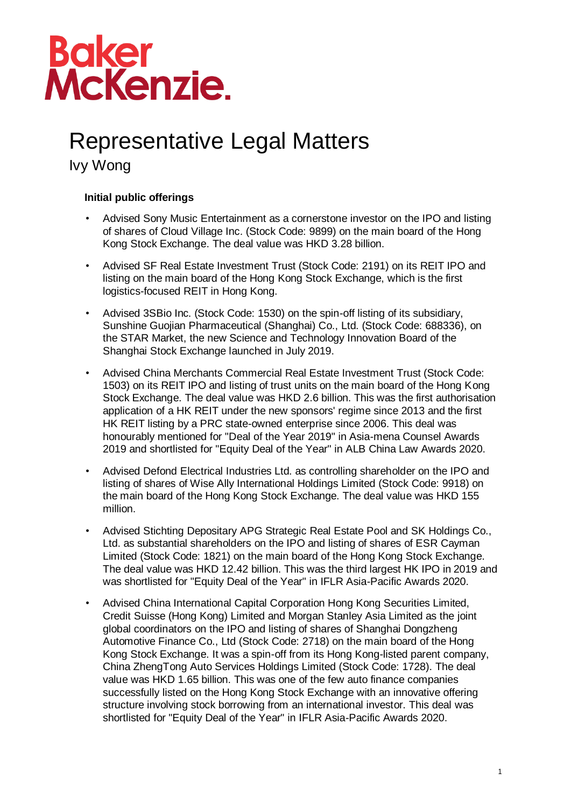# Baker<br>McKenzie.

### Representative Legal Matters

Ivy Wong

### **Initial public offerings**

- Advised Sony Music Entertainment as a cornerstone investor on the IPO and listing of shares of Cloud Village Inc. (Stock Code: 9899) on the main board of the Hong Kong Stock Exchange. The deal value was HKD 3.28 billion.
- Advised SF Real Estate Investment Trust (Stock Code: 2191) on its REIT IPO and listing on the main board of the Hong Kong Stock Exchange, which is the first logistics-focused REIT in Hong Kong.
- Advised 3SBio Inc. (Stock Code: 1530) on the spin-off listing of its subsidiary, Sunshine Guojian Pharmaceutical (Shanghai) Co., Ltd. (Stock Code: 688336), on the STAR Market, the new Science and Technology Innovation Board of the Shanghai Stock Exchange launched in July 2019.
- Advised China Merchants Commercial Real Estate Investment Trust (Stock Code: 1503) on its REIT IPO and listing of trust units on the main board of the Hong Kong Stock Exchange. The deal value was HKD 2.6 billion. This was the first authorisation application of a HK REIT under the new sponsors' regime since 2013 and the first HK REIT listing by a PRC state-owned enterprise since 2006. This deal was honourably mentioned for "Deal of the Year 2019" in Asia-mena Counsel Awards 2019 and shortlisted for "Equity Deal of the Year" in ALB China Law Awards 2020.
- Advised Defond Electrical Industries Ltd. as controlling shareholder on the IPO and listing of shares of Wise Ally International Holdings Limited (Stock Code: 9918) on the main board of the Hong Kong Stock Exchange. The deal value was HKD 155 million.
- Advised Stichting Depositary APG Strategic Real Estate Pool and SK Holdings Co., Ltd. as substantial shareholders on the IPO and listing of shares of ESR Cayman Limited (Stock Code: 1821) on the main board of the Hong Kong Stock Exchange. The deal value was HKD 12.42 billion. This was the third largest HK IPO in 2019 and was shortlisted for "Equity Deal of the Year" in IFLR Asia-Pacific Awards 2020.
- Advised China International Capital Corporation Hong Kong Securities Limited, Credit Suisse (Hong Kong) Limited and Morgan Stanley Asia Limited as the joint global coordinators on the IPO and listing of shares of Shanghai Dongzheng Automotive Finance Co., Ltd (Stock Code: 2718) on the main board of the Hong Kong Stock Exchange. It was a spin-off from its Hong Kong-listed parent company, China ZhengTong Auto Services Holdings Limited (Stock Code: 1728). The deal value was HKD 1.65 billion. This was one of the few auto finance companies successfully listed on the Hong Kong Stock Exchange with an innovative offering structure involving stock borrowing from an international investor. This deal was shortlisted for "Equity Deal of the Year" in IFLR Asia-Pacific Awards 2020.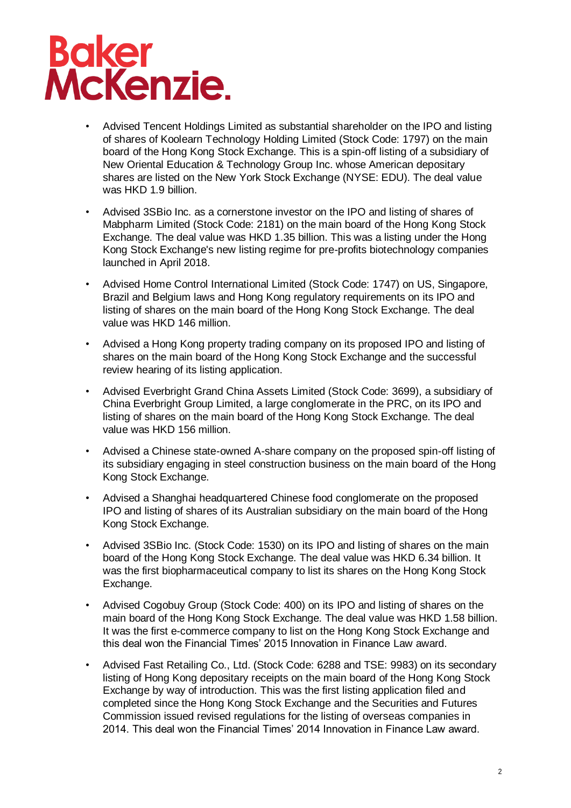# **Baker<br>McKenzie.**

- Advised Tencent Holdings Limited as substantial shareholder on the IPO and listing of shares of Koolearn Technology Holding Limited (Stock Code: 1797) on the main board of the Hong Kong Stock Exchange. This is a spin-off listing of a subsidiary of New Oriental Education & Technology Group Inc. whose American depositary shares are listed on the New York Stock Exchange (NYSE: EDU). The deal value was HKD 1.9 billion.
- Advised 3SBio Inc. as a cornerstone investor on the IPO and listing of shares of Mabpharm Limited (Stock Code: 2181) on the main board of the Hong Kong Stock Exchange. The deal value was HKD 1.35 billion. This was a listing under the Hong Kong Stock Exchange's new listing regime for pre-profits biotechnology companies launched in April 2018.
- Advised Home Control International Limited (Stock Code: 1747) on US, Singapore, Brazil and Belgium laws and Hong Kong regulatory requirements on its IPO and listing of shares on the main board of the Hong Kong Stock Exchange. The deal value was HKD 146 million.
- Advised a Hong Kong property trading company on its proposed IPO and listing of shares on the main board of the Hong Kong Stock Exchange and the successful review hearing of its listing application.
- Advised Everbright Grand China Assets Limited (Stock Code: 3699), a subsidiary of China Everbright Group Limited, a large conglomerate in the PRC, on its IPO and listing of shares on the main board of the Hong Kong Stock Exchange. The deal value was HKD 156 million.
- Advised a Chinese state-owned A-share company on the proposed spin-off listing of its subsidiary engaging in steel construction business on the main board of the Hong Kong Stock Exchange.
- Advised a Shanghai headquartered Chinese food conglomerate on the proposed IPO and listing of shares of its Australian subsidiary on the main board of the Hong Kong Stock Exchange.
- Advised 3SBio Inc. (Stock Code: 1530) on its IPO and listing of shares on the main board of the Hong Kong Stock Exchange. The deal value was HKD 6.34 billion. It was the first biopharmaceutical company to list its shares on the Hong Kong Stock Exchange.
- Advised Cogobuy Group (Stock Code: 400) on its IPO and listing of shares on the main board of the Hong Kong Stock Exchange. The deal value was HKD 1.58 billion. It was the first e-commerce company to list on the Hong Kong Stock Exchange and this deal won the Financial Times' 2015 Innovation in Finance Law award.
- Advised Fast Retailing Co., Ltd. (Stock Code: 6288 and TSE: 9983) on its secondary listing of Hong Kong depositary receipts on the main board of the Hong Kong Stock Exchange by way of introduction. This was the first listing application filed and completed since the Hong Kong Stock Exchange and the Securities and Futures Commission issued revised regulations for the listing of overseas companies in 2014. This deal won the Financial Times' 2014 Innovation in Finance Law award.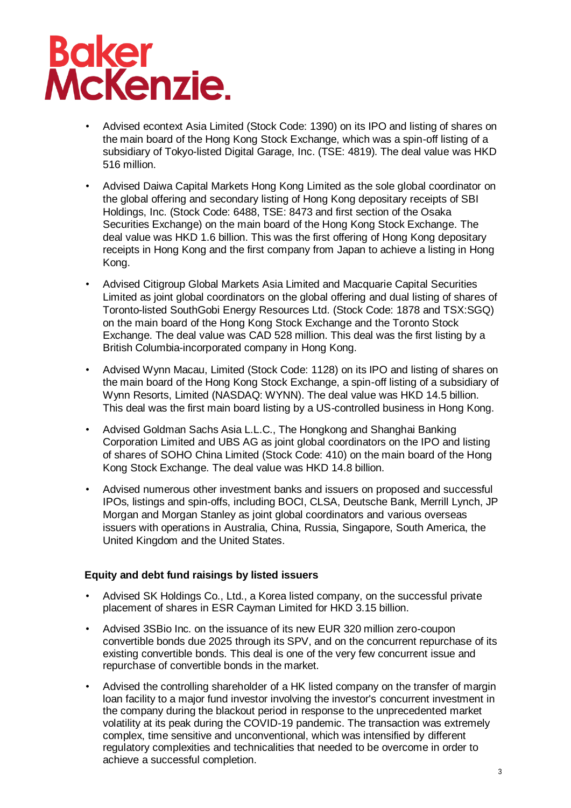# Baker<br>McKenzie.

- Advised econtext Asia Limited (Stock Code: 1390) on its IPO and listing of shares on the main board of the Hong Kong Stock Exchange, which was a spin-off listing of a subsidiary of Tokyo-listed Digital Garage, Inc. (TSE: 4819). The deal value was HKD 516 million.
- Advised Daiwa Capital Markets Hong Kong Limited as the sole global coordinator on the global offering and secondary listing of Hong Kong depositary receipts of SBI Holdings, Inc. (Stock Code: 6488, TSE: 8473 and first section of the Osaka Securities Exchange) on the main board of the Hong Kong Stock Exchange. The deal value was HKD 1.6 billion. This was the first offering of Hong Kong depositary receipts in Hong Kong and the first company from Japan to achieve a listing in Hong Kong.
- Advised Citigroup Global Markets Asia Limited and Macquarie Capital Securities Limited as joint global coordinators on the global offering and dual listing of shares of Toronto-listed SouthGobi Energy Resources Ltd. (Stock Code: 1878 and TSX:SGQ) on the main board of the Hong Kong Stock Exchange and the Toronto Stock Exchange. The deal value was CAD 528 million. This deal was the first listing by a British Columbia-incorporated company in Hong Kong.
- Advised Wynn Macau, Limited (Stock Code: 1128) on its IPO and listing of shares on the main board of the Hong Kong Stock Exchange, a spin-off listing of a subsidiary of Wynn Resorts, Limited (NASDAQ: WYNN). The deal value was HKD 14.5 billion. This deal was the first main board listing by a US-controlled business in Hong Kong.
- Advised Goldman Sachs Asia L.L.C., The Hongkong and Shanghai Banking Corporation Limited and UBS AG as joint global coordinators on the IPO and listing of shares of SOHO China Limited (Stock Code: 410) on the main board of the Hong Kong Stock Exchange. The deal value was HKD 14.8 billion.
- Advised numerous other investment banks and issuers on proposed and successful IPOs, listings and spin-offs, including BOCI, CLSA, Deutsche Bank, Merrill Lynch, JP Morgan and Morgan Stanley as joint global coordinators and various overseas issuers with operations in Australia, China, Russia, Singapore, South America, the United Kingdom and the United States.

#### **Equity and debt fund raisings by listed issuers**

- Advised SK Holdings Co., Ltd., a Korea listed company, on the successful private placement of shares in ESR Cayman Limited for HKD 3.15 billion.
- Advised 3SBio Inc. on the issuance of its new EUR 320 million zero-coupon convertible bonds due 2025 through its SPV, and on the concurrent repurchase of its existing convertible bonds. This deal is one of the very few concurrent issue and repurchase of convertible bonds in the market.
- Advised the controlling shareholder of a HK listed company on the transfer of margin loan facility to a major fund investor involving the investor's concurrent investment in the company during the blackout period in response to the unprecedented market volatility at its peak during the COVID-19 pandemic. The transaction was extremely complex, time sensitive and unconventional, which was intensified by different regulatory complexities and technicalities that needed to be overcome in order to achieve a successful completion.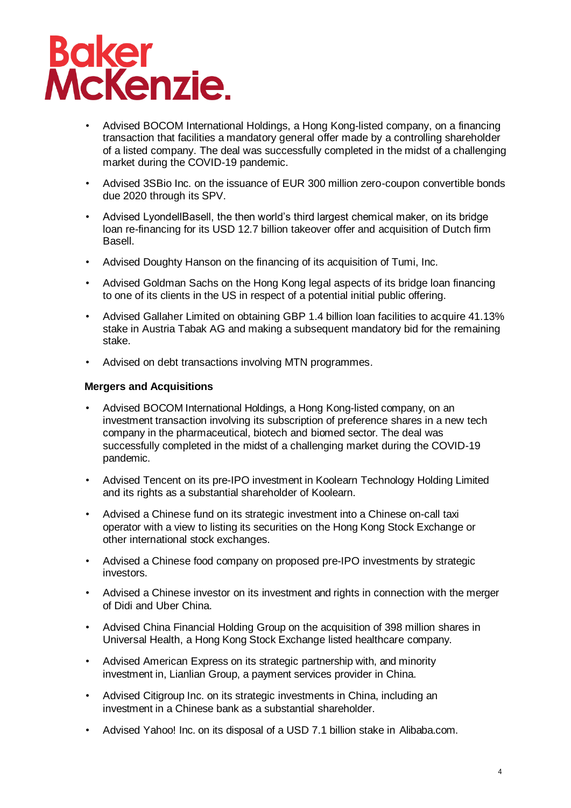

- Advised BOCOM International Holdings, a Hong Kong-listed company, on a financing transaction that facilities a mandatory general offer made by a controlling shareholder of a listed company. The deal was successfully completed in the midst of a challenging market during the COVID-19 pandemic.
- Advised 3SBio Inc. on the issuance of EUR 300 million zero-coupon convertible bonds due 2020 through its SPV.
- Advised LyondellBasell, the then world's third largest chemical maker, on its bridge loan re-financing for its USD 12.7 billion takeover offer and acquisition of Dutch firm Basell.
- Advised Doughty Hanson on the financing of its acquisition of Tumi, Inc.
- Advised Goldman Sachs on the Hong Kong legal aspects of its bridge loan financing to one of its clients in the US in respect of a potential initial public offering.
- Advised Gallaher Limited on obtaining GBP 1.4 billion loan facilities to acquire 41.13% stake in Austria Tabak AG and making a subsequent mandatory bid for the remaining stake.
- Advised on debt transactions involving MTN programmes.

#### **Mergers and Acquisitions**

- Advised BOCOM International Holdings, a Hong Kong-listed company, on an investment transaction involving its subscription of preference shares in a new tech company in the pharmaceutical, biotech and biomed sector. The deal was successfully completed in the midst of a challenging market during the COVID-19 pandemic.
- Advised Tencent on its pre-IPO investment in Koolearn Technology Holding Limited and its rights as a substantial shareholder of Koolearn.
- Advised a Chinese fund on its strategic investment into a Chinese on-call taxi operator with a view to listing its securities on the Hong Kong Stock Exchange or other international stock exchanges.
- Advised a Chinese food company on proposed pre-IPO investments by strategic investors.
- Advised a Chinese investor on its investment and rights in connection with the merger of Didi and Uber China.
- Advised China Financial Holding Group on the acquisition of 398 million shares in Universal Health, a Hong Kong Stock Exchange listed healthcare company.
- Advised American Express on its strategic partnership with, and minority investment in, Lianlian Group, a payment services provider in China.
- Advised Citigroup Inc. on its strategic investments in China, including an investment in a Chinese bank as a substantial shareholder.
- Advised Yahoo! Inc. on its disposal of a USD 7.1 billion stake in Alibaba.com.